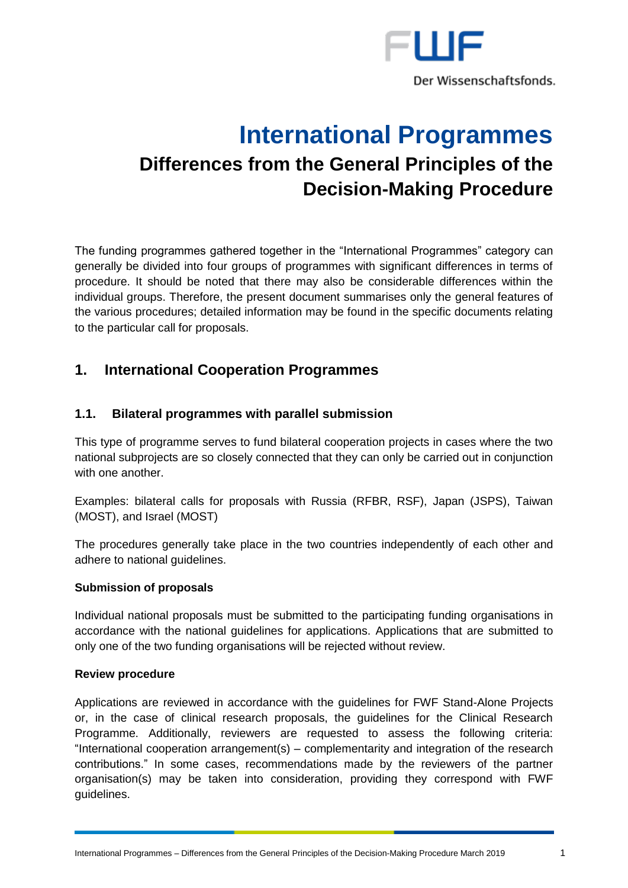

# **International Programmes Differences from the General Principles of the Decision-Making Procedure**

The funding programmes gathered together in the "International Programmes" category can generally be divided into four groups of programmes with significant differences in terms of procedure. It should be noted that there may also be considerable differences within the individual groups. Therefore, the present document summarises only the general features of the various procedures; detailed information may be found in the specific documents relating to the particular call for proposals.

## **1. International Cooperation Programmes**

## **1.1. Bilateral programmes with parallel submission**

This type of programme serves to fund bilateral cooperation projects in cases where the two national subprojects are so closely connected that they can only be carried out in conjunction with one another

Examples: bilateral calls for proposals with Russia (RFBR, RSF), Japan (JSPS), Taiwan (MOST), and Israel (MOST)

The procedures generally take place in the two countries independently of each other and adhere to national guidelines.

#### **Submission of proposals**

Individual national proposals must be submitted to the participating funding organisations in accordance with the national guidelines for applications. Applications that are submitted to only one of the two funding organisations will be rejected without review.

#### **Review procedure**

Applications are reviewed in accordance with the guidelines for FWF Stand-Alone Projects or, in the case of clinical research proposals, the guidelines for the Clinical Research Programme. Additionally, reviewers are requested to assess the following criteria: "International cooperation arrangement(s) – complementarity and integration of the research contributions." In some cases, recommendations made by the reviewers of the partner organisation(s) may be taken into consideration, providing they correspond with FWF guidelines.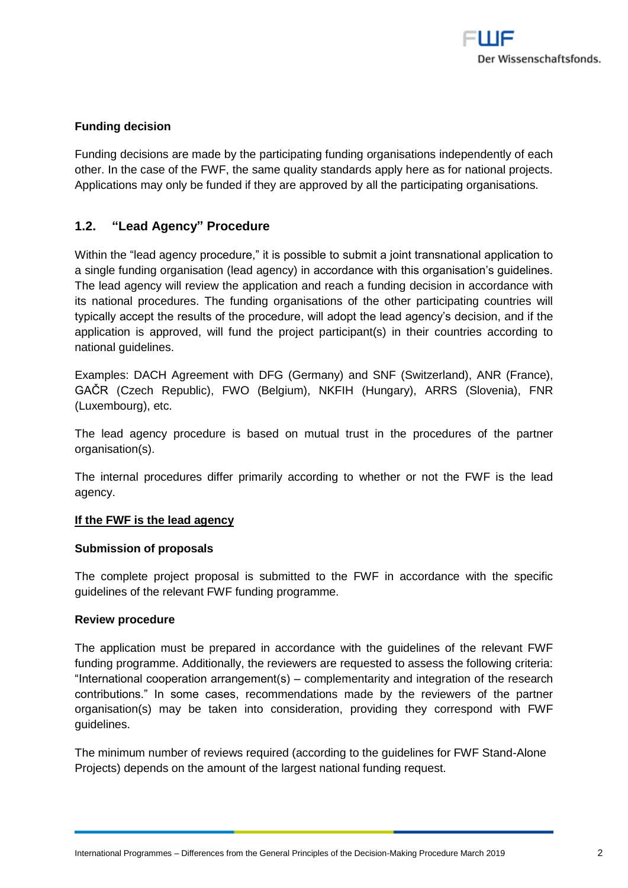

#### **Funding decision**

Funding decisions are made by the participating funding organisations independently of each other. In the case of the FWF, the same quality standards apply here as for national projects. Applications may only be funded if they are approved by all the participating organisations.

## **1.2. "Lead Agency" Procedure**

Within the "lead agency procedure," it is possible to submit a joint transnational application to a single funding organisation (lead agency) in accordance with this organisation's guidelines. The lead agency will review the application and reach a funding decision in accordance with its national procedures. The funding organisations of the other participating countries will typically accept the results of the procedure, will adopt the lead agency's decision, and if the application is approved, will fund the project participant(s) in their countries according to national guidelines.

Examples: DACH Agreement with DFG (Germany) and SNF (Switzerland), ANR (France), GAČR (Czech Republic), FWO (Belgium), NKFIH (Hungary), ARRS (Slovenia), FNR (Luxembourg), etc.

The lead agency procedure is based on mutual trust in the procedures of the partner organisation(s).

The internal procedures differ primarily according to whether or not the FWF is the lead agency.

#### **If the FWF is the lead agency**

#### **Submission of proposals**

The complete project proposal is submitted to the FWF in accordance with the specific guidelines of the relevant FWF funding programme.

#### **Review procedure**

The application must be prepared in accordance with the guidelines of the relevant FWF funding programme. Additionally, the reviewers are requested to assess the following criteria: "International cooperation arrangement(s) – complementarity and integration of the research contributions." In some cases, recommendations made by the reviewers of the partner organisation(s) may be taken into consideration, providing they correspond with FWF guidelines.

The minimum number of reviews required (according to the guidelines for FWF Stand-Alone Projects) depends on the amount of the largest national funding request.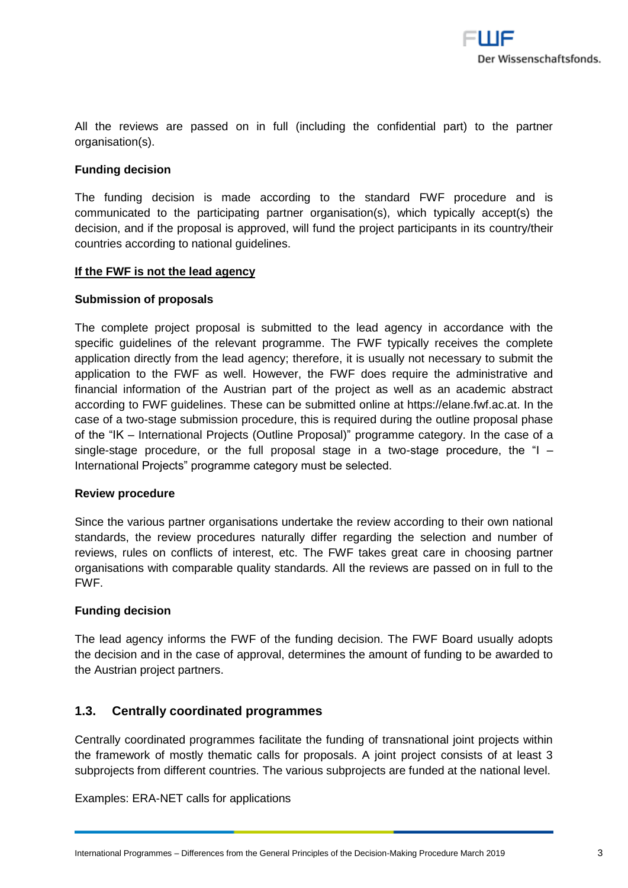All the reviews are passed on in full (including the confidential part) to the partner organisation(s).

#### **Funding decision**

The funding decision is made according to the standard FWF procedure and is communicated to the participating partner organisation(s), which typically accept(s) the decision, and if the proposal is approved, will fund the project participants in its country/their countries according to national guidelines.

#### **If the FWF is not the lead agency**

#### **Submission of proposals**

The complete project proposal is submitted to the lead agency in accordance with the specific guidelines of the relevant programme. The FWF typically receives the complete application directly from the lead agency; therefore, it is usually not necessary to submit the application to the FWF as well. However, the FWF does require the administrative and financial information of the Austrian part of the project as well as an academic abstract according to FWF guidelines. These can be submitted online at [https://elane.fwf.ac.at.](https://elane.fwf.ac.at/) In the case of a two-stage submission procedure, this is required during the outline proposal phase of the "IK – International Projects (Outline Proposal)" programme category. In the case of a single-stage procedure, or the full proposal stage in a two-stage procedure, the "I – International Projects" programme category must be selected.

#### **Review procedure**

Since the various partner organisations undertake the review according to their own national standards, the review procedures naturally differ regarding the selection and number of reviews, rules on conflicts of interest, etc. The FWF takes great care in choosing partner organisations with comparable quality standards. All the reviews are passed on in full to the FWF.

#### **Funding decision**

The lead agency informs the FWF of the funding decision. The FWF Board usually adopts the decision and in the case of approval, determines the amount of funding to be awarded to the Austrian project partners.

## **1.3. Centrally coordinated programmes**

Centrally coordinated programmes facilitate the funding of transnational joint projects within the framework of mostly thematic calls for proposals. A joint project consists of at least 3 subprojects from different countries. The various subprojects are funded at the national level.

Examples: ERA-NET calls for applications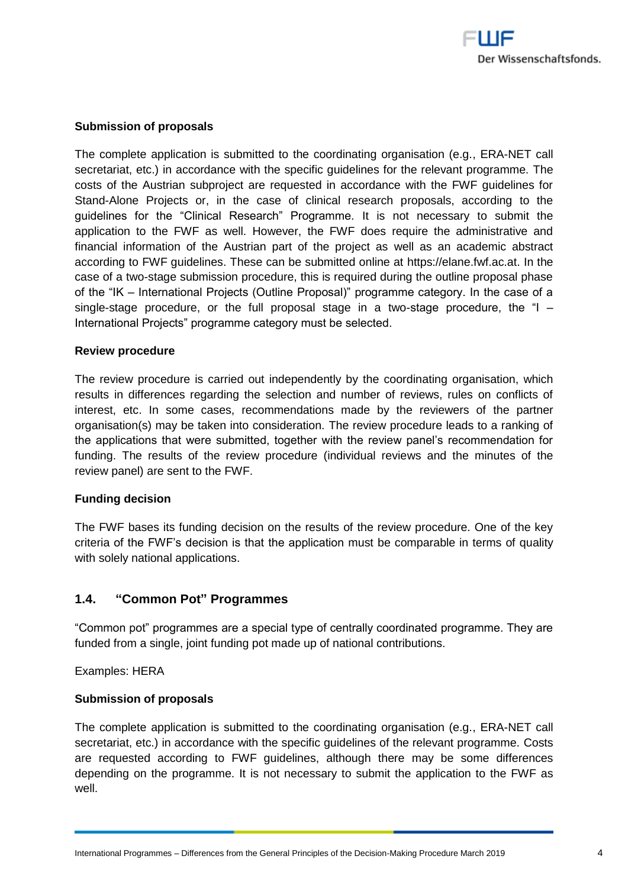

#### **Submission of proposals**

The complete application is submitted to the coordinating organisation (e.g., ERA-NET call secretariat, etc.) in accordance with the specific guidelines for the relevant programme. The costs of the Austrian subproject are requested in accordance with the FWF guidelines for Stand-Alone Projects or, in the case of clinical research proposals, according to the guidelines for the "Clinical Research" Programme. It is not necessary to submit the application to the FWF as well. However, the FWF does require the administrative and financial information of the Austrian part of the project as well as an academic abstract according to FWF guidelines. These can be submitted online at [https://elane.fwf.ac.at.](https://elane.fwf.ac.at/) In the case of a two-stage submission procedure, this is required during the outline proposal phase of the "IK – International Projects (Outline Proposal)" programme category. In the case of a single-stage procedure, or the full proposal stage in a two-stage procedure, the " $\vert$  -International Projects" programme category must be selected.

#### **Review procedure**

The review procedure is carried out independently by the coordinating organisation, which results in differences regarding the selection and number of reviews, rules on conflicts of interest, etc. In some cases, recommendations made by the reviewers of the partner organisation(s) may be taken into consideration. The review procedure leads to a ranking of the applications that were submitted, together with the review panel's recommendation for funding. The results of the review procedure (individual reviews and the minutes of the review panel) are sent to the FWF.

#### **Funding decision**

The FWF bases its funding decision on the results of the review procedure. One of the key criteria of the FWF's decision is that the application must be comparable in terms of quality with solely national applications.

#### **1.4. "Common Pot" Programmes**

"Common pot" programmes are a special type of centrally coordinated programme. They are funded from a single, joint funding pot made up of national contributions.

Examples: HERA

#### **Submission of proposals**

The complete application is submitted to the coordinating organisation (e.g., ERA-NET call secretariat, etc.) in accordance with the specific guidelines of the relevant programme. Costs are requested according to FWF guidelines, although there may be some differences depending on the programme. It is not necessary to submit the application to the FWF as well.